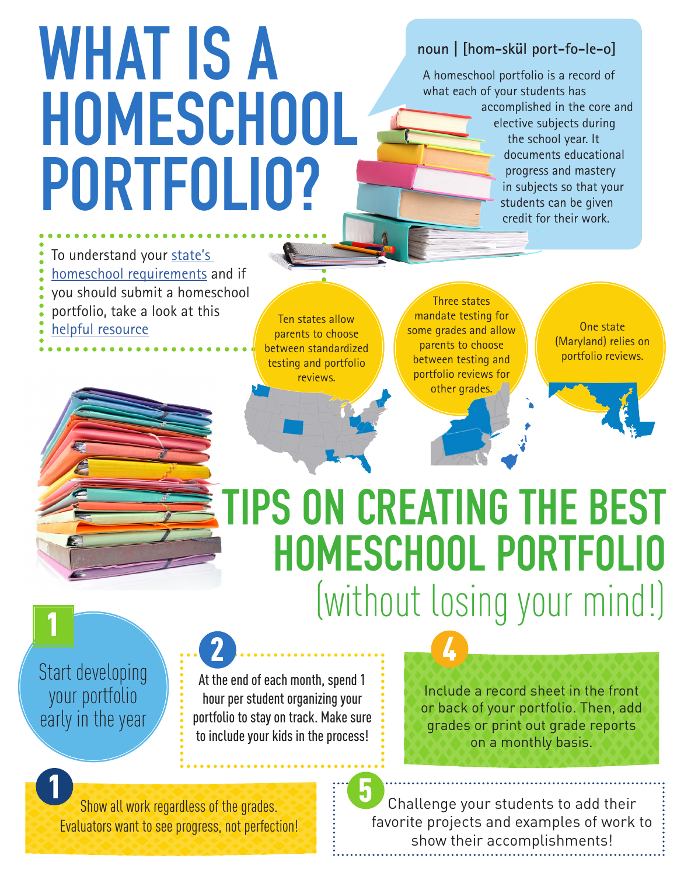# WHAT IS A HOMESCHOOL PORTFOLIO?

#### **noun | [hom-skül port-fo-le-o]**

A homeschool portfolio is a record of what each of your students has accomplished in the core and elective subjects during the school year. It documents educational progress and mastery in subjects so that your students can be given credit for their work.

To understand your [state's](https://www.homeschoolacademy.com/state-homeschool-resources/)  [homeschool requirements](https://www.homeschoolacademy.com/state-homeschool-resources/) and if you should submit a homeschool portfolio, take a look at this portiono, take a look at this<br>helpful resource example allow parents to choose

parents to choose between standardized testing and portfolio reviews.

Three states mandate testing for some grades and allow parents to choose between testing and portfolio reviews for other grades.

One state (Maryland) relies on portfolio reviews.

## TIPS ON CREATING THE BEST HOMESCHOOL PORTFOLIO (without losing your mind!)

4

Start developing your portfolio early in the year

1

1

At the end of each month, spend 1 hour per student organizing your portfolio to stay on track. Make sure to include your kids in the process!

Include a record sheet in the front or back of your portfolio. Then, add grades or print out grade reports on a monthly basis.

Show all work regardless of the grades. Evaluators want to see progress, not perfection!

2

Challenge your students to add their favorite projects and examples of work to show their accomplishments! 5